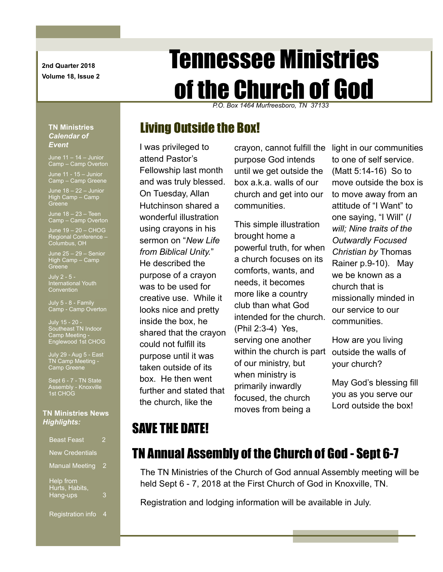**2nd Quarter 2018 Volume 18, Issue 2**

# Tennessee Ministries of the Church of God

*P.O. Box 1464 Murfreesboro, TN 37133*

## Living Outside the Box!

I was privileged to attend Pastor's Fellowship last month and was truly blessed. On Tuesday, Allan Hutchinson shared a wonderful illustration using crayons in his sermon on "*New Life from Biblical Unity.*" He described the purpose of a crayon was to be used for creative use. While it looks nice and pretty inside the box, he shared that the crayon could not fulfill its purpose until it was taken outside of its box. He then went further and stated that the church, like the

crayon, cannot fulfill the purpose God intends until we get outside the box a.k.a. walls of our church and get into our communities.

This simple illustration brought home a powerful truth, for when a church focuses on its comforts, wants, and needs, it becomes more like a country club than what God intended for the church. (Phil 2:3-4) Yes, serving one another within the church is part outside the walls of of our ministry, but when ministry is primarily inwardly focused, the church moves from being a

light in our communities to one of self service. (Matt 5:14-16) So to move outside the box is to move away from an attitude of "I Want" to one saying, "I Will" (*I will; Nine traits of the Outwardly Focused Christian by* Thomas Rainer p.9-10). May we be known as a church that is missionally minded in our service to our communities.

How are you living your church?

May God's blessing fill you as you serve our Lord outside the box!

# SAVE THE DATE!

### TN Annual Assembly of the Church of God - Sept 6-7

The TN Ministries of the Church of God annual Assembly meeting will be held Sept 6 - 7, 2018 at the First Church of God in Knoxville, TN.

Registration and lodging information will be available in July.

#### **TN Ministries**  *Calendar of*  Event

Camp – Camp Overton

June 11 - 15 – Junior Camp – Camp Greene

June 18 – 22 – Junior High Camp – Camp **Greene** 

June 18 – 23 – Teen Camp – Camp Overton

 $J$ une 19  $-$  20  $-$  CHOG Regional Conference – Columbus, OH

June 25 – 29 – Senior High Camp – Camp Greene

July 2 - 5 - International Youth

July 5 - 8 - Family Camp - Camp Overton

July 15 - 20 - Southeast TN Indoor Camp Meeting - Englewood 1st CHOG

July 29 - Aug 5 - East TN Camp Meeting - Camp Greene

Sept 6 - 7 - TN State Assembly - Knoxville 1st CHOG

#### **TN Ministries News** *Highlights:*

| <b>Beast Feast</b>                      | 2 |
|-----------------------------------------|---|
| <b>New Credentials</b>                  |   |
| <b>Manual Meeting</b>                   | 2 |
| Help from<br>Hurts, Habits,<br>Hang-ups | 3 |
| <b>Registration info</b>                | 4 |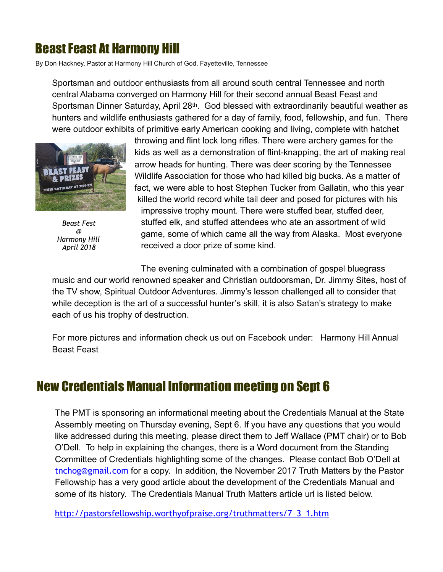# Beast Feast At Harmony Hill

By Don Hackney, Pastor at Harmony Hill Church of God, Fayetteville, Tennessee

Sportsman and outdoor enthusiasts from all around south central Tennessee and north central Alabama converged on Harmony Hill for their second annual Beast Feast and Sportsman Dinner Saturday, April 28<sup>th</sup>. God blessed with extraordinarily beautiful weather as hunters and wildlife enthusiasts gathered for a day of family, food, fellowship, and fun. There were outdoor exhibits of primitive early American cooking and living, complete with hatchet



*Beast Fest @ Harmony Hill April 2018*

throwing and flint lock long rifles. There were archery games for the kids as well as a demonstration of flint-knapping, the art of making real arrow heads for hunting. There was deer scoring by the Tennessee Wildlife Association for those who had killed big bucks. As a matter of fact, we were able to host Stephen Tucker from Gallatin, who this year killed the world record white tail deer and posed for pictures with his impressive trophy mount. There were stuffed bear, stuffed deer, stuffed elk, and stuffed attendees who ate an assortment of wild game, some of which came all the way from Alaska. Most everyone received a door prize of some kind.

The evening culminated with a combination of gospel bluegrass

music and our world renowned speaker and Christian outdoorsman, Dr. Jimmy Sites, host of the TV show, Spiritual Outdoor Adventures. Jimmy's lesson challenged all to consider that while deception is the art of a successful hunter's skill, it is also Satan's strategy to make each of us his trophy of destruction.

For more pictures and information check us out on Facebook under: Harmony Hill Annual Beast Feast

### New Credentials Manual Information meeting on Sept 6

The PMT is sponsoring an informational meeting about the Credentials Manual at the State Assembly meeting on Thursday evening, Sept 6. If you have any questions that you would like addressed during this meeting, please direct them to Jeff Wallace (PMT chair) or to Bob O'Dell. To help in explaining the changes, there is a Word document from the Standing Committee of Credentials highlighting some of the changes. Please contact Bob O'Dell at [tnchog@gmail.com](mailto:tnchog@gmail.com) for a copy. In addition, the November 2017 Truth Matters by the Pastor Fellowship has a very good article about the development of the Credentials Manual and some of its history. The Credentials Manual Truth Matters article url is listed below.

[http://pastorsfellowship.worthyofpraise.org/truthmatters/7\\_3\\_1.htm](http://pastorsfellowship.worthyofpraise.org/truthmatters/7_3_1.htm)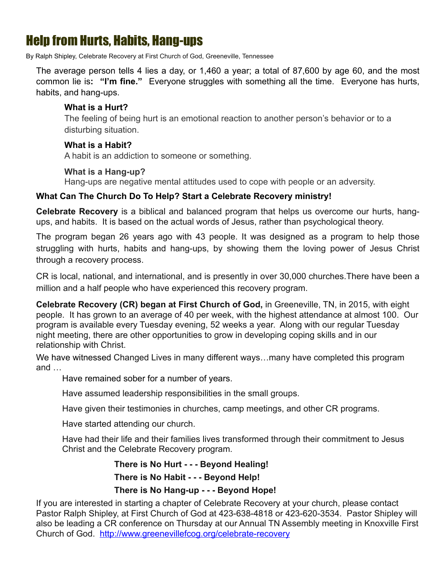## Help from Hurts, Habits, Hang-ups

By Ralph Shipley, Celebrate Recovery at First Church of God, Greeneville, Tennessee

The average person tells 4 lies a day, or 1,460 a year; a total of 87,600 by age 60, and the most common lie is**: "I'm fine."** Everyone struggles with something all the time. Everyone has hurts, habits, and hang-ups.

#### **What is a Hurt?**

The feeling of being hurt is an emotional reaction to another person's behavior or to a disturbing situation.

#### **What is a Habit?**

A habit is an addiction to someone or something.

#### **What is a Hang-up?**

Hang-ups are negative mental attitudes used to cope with people or an adversity.

#### **What Can The Church Do To Help? Start a Celebrate Recovery ministry!**

**Celebrate Recovery** is a biblical and balanced program that helps us overcome our hurts, hangups, and habits. It is based on the actual words of Jesus, rather than psychological theory.

The program began 26 years ago with 43 people. It was designed as a program to help those struggling with hurts, habits and hang-ups, by showing them the loving power of Jesus Christ through a recovery process.

CR is local, national, and international, and is presently in over 30,000 churches.There have been a million and a half people who have experienced this recovery program.

**Celebrate Recovery (CR) began at First Church of God,** in Greeneville, TN, in 2015, with eight people. It has grown to an average of 40 per week, with the highest attendance at almost 100. Our program is available every Tuesday evening, 52 weeks a year. Along with our regular Tuesday night meeting, there are other opportunities to grow in developing coping skills and in our relationship with Christ.

We have witnessed Changed Lives in many different ways...many have completed this program and …

Have remained sober for a number of years.

Have assumed leadership responsibilities in the small groups.

Have given their testimonies in churches, camp meetings, and other CR programs.

Have started attending our church.

 Have had their life and their families lives transformed through their commitment to Jesus Christ and the Celebrate Recovery program.

> **There is No Hurt - - - Beyond Healing! There is No Habit - - - Beyond Help!**

#### **There is No Hang-up - - - Beyond Hope!**

If you are interested in starting a chapter of Celebrate Recovery at your church, please contact Pastor Ralph Shipley, at First Church of God at 423-638-4818 or 423-620-3534. Pastor Shipley will also be leading a CR conference on Thursday at our Annual TN Assembly meeting in Knoxville First Church of God. <http://www.greenevillefcog.org/celebrate-recovery>